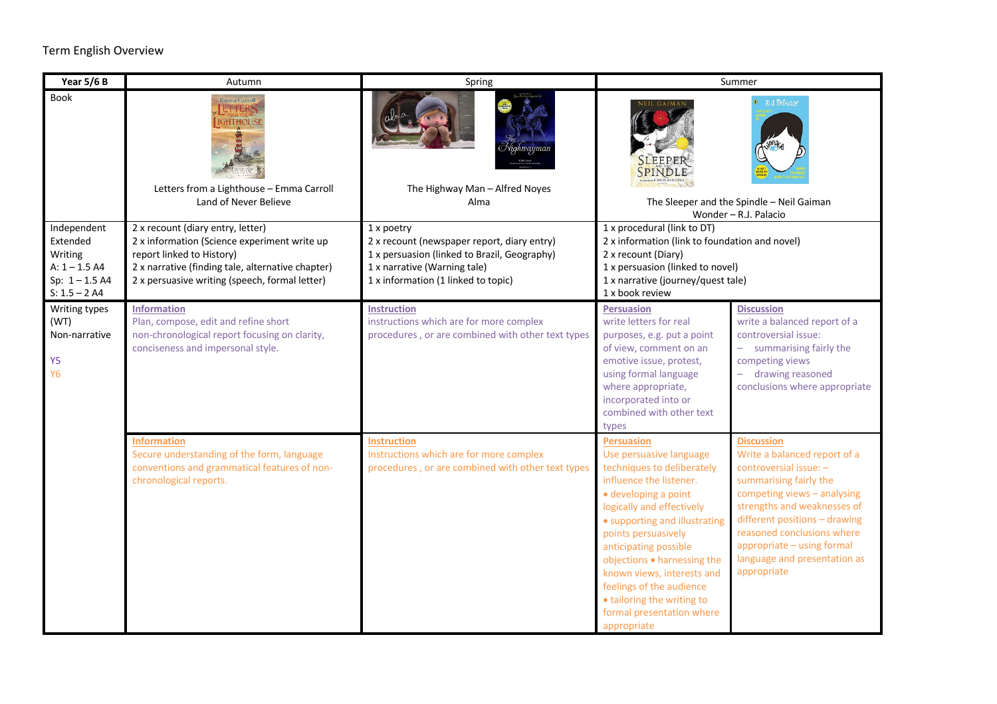## Term English Overview

| Year 5/6 B                          | Autumn                                                                                                                        | Spring                                                                                       | Summer                                                                                                                                                                                            |                                                             |
|-------------------------------------|-------------------------------------------------------------------------------------------------------------------------------|----------------------------------------------------------------------------------------------|---------------------------------------------------------------------------------------------------------------------------------------------------------------------------------------------------|-------------------------------------------------------------|
| Book                                | <b>Emma Carroll</b><br><b>ETTERS</b><br><b>IGHTHOUSE</b><br>Letters from a Lighthouse - Emma Carroll<br>Land of Never Believe | The Highway Man - Alfred Noyes<br>Alma                                                       | R.J. Palacio<br><b>SPINDLE</b><br>The Sleeper and the Spindle - Neil Gaiman<br>Wonder - R.J. Palacio                                                                                              |                                                             |
| Independent                         | 2 x recount (diary entry, letter)                                                                                             | 1 x poetry                                                                                   | 1 x procedural (link to DT)<br>2 x information (link to foundation and novel)<br>2 x recount (Diary)<br>1 x persuasion (linked to novel)<br>1 x narrative (journey/quest tale)<br>1 x book review |                                                             |
| Extended<br>Writing                 | 2 x information (Science experiment write up<br>report linked to History)                                                     | 2 x recount (newspaper report, diary entry)<br>1 x persuasion (linked to Brazil, Geography)  |                                                                                                                                                                                                   |                                                             |
| $A: 1 - 1.5 A4$                     | 2 x narrative (finding tale, alternative chapter)                                                                             | 1 x narrative (Warning tale)                                                                 |                                                                                                                                                                                                   |                                                             |
| Sp: $1 - 1.5$ A4<br>$S: 1.5 - 2 A4$ | 2 x persuasive writing (speech, formal letter)                                                                                | 1 x information (1 linked to topic)                                                          |                                                                                                                                                                                                   |                                                             |
| Writing types                       | <b>Information</b>                                                                                                            | <b>Instruction</b>                                                                           | <b>Persuasion</b>                                                                                                                                                                                 | <b>Discussion</b>                                           |
| (WT)<br>Non-narrative               | Plan, compose, edit and refine short<br>non-chronological report focusing on clarity,                                         | instructions which are for more complex<br>procedures, or are combined with other text types | write letters for real                                                                                                                                                                            | write a balanced report of a<br>controversial issue:        |
|                                     | conciseness and impersonal style.                                                                                             |                                                                                              | purposes, e.g. put a point<br>of view, comment on an                                                                                                                                              | - summarising fairly the                                    |
| Y <sub>5</sub>                      |                                                                                                                               |                                                                                              | emotive issue, protest,                                                                                                                                                                           | competing views                                             |
| <b>Y6</b>                           |                                                                                                                               |                                                                                              | using formal language<br>where appropriate,                                                                                                                                                       | - drawing reasoned<br>conclusions where appropriate         |
|                                     |                                                                                                                               |                                                                                              | incorporated into or                                                                                                                                                                              |                                                             |
|                                     |                                                                                                                               |                                                                                              | combined with other text                                                                                                                                                                          |                                                             |
|                                     | <b>Information</b>                                                                                                            | <b>Instruction</b>                                                                           | types<br><b>Persuasion</b>                                                                                                                                                                        | <b>Discussion</b>                                           |
|                                     | Secure understanding of the form, language                                                                                    | Instructions which are for more complex                                                      | Use persuasive language                                                                                                                                                                           | Write a balanced report of a                                |
|                                     | conventions and grammatical features of non-<br>chronological reports.                                                        | procedures, or are combined with other text types                                            | techniques to deliberately<br>influence the listener.                                                                                                                                             | controversial issue: -<br>summarising fairly the            |
|                                     |                                                                                                                               |                                                                                              | · developing a point                                                                                                                                                                              | competing views - analysing                                 |
|                                     |                                                                                                                               |                                                                                              | logically and effectively                                                                                                                                                                         | strengths and weaknesses of                                 |
|                                     |                                                                                                                               |                                                                                              | • supporting and illustrating<br>points persuasively                                                                                                                                              | different positions - drawing<br>reasoned conclusions where |
|                                     |                                                                                                                               |                                                                                              | anticipating possible                                                                                                                                                                             | appropriate - using formal                                  |
|                                     |                                                                                                                               |                                                                                              | objections . harnessing the                                                                                                                                                                       | language and presentation as                                |
|                                     |                                                                                                                               |                                                                                              | known views, interests and<br>feelings of the audience                                                                                                                                            | appropriate                                                 |
|                                     |                                                                                                                               |                                                                                              | • tailoring the writing to                                                                                                                                                                        |                                                             |
|                                     |                                                                                                                               |                                                                                              | formal presentation where                                                                                                                                                                         |                                                             |
|                                     |                                                                                                                               |                                                                                              | appropriate                                                                                                                                                                                       |                                                             |